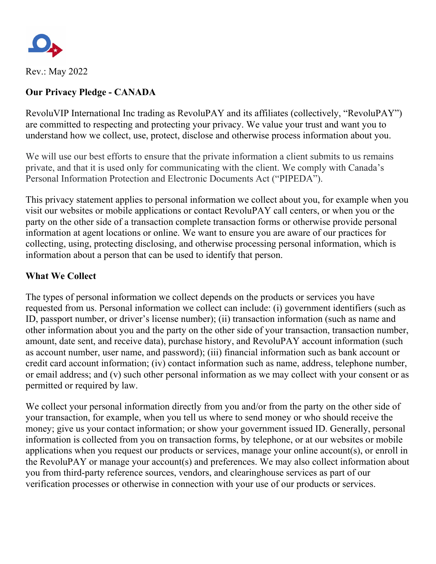

Rev.: May 2022

# **Our Privacy Pledge - CANADA**

RevoluVIP International Inc trading as RevoluPAY and its affiliates (collectively, "RevoluPAY") are committed to respecting and protecting your privacy. We value your trust and want you to understand how we collect, use, protect, disclose and otherwise process information about you.

We will use our best efforts to ensure that the private information a client submits to us remains private, and that it is used only for communicating with the client. We comply with Canada's Personal Information Protection and Electronic Documents Act ("PIPEDA").

This privacy statement applies to personal information we collect about you, for example when you visit our websites or mobile applications or contact RevoluPAY call centers, or when you or the party on the other side of a transaction complete transaction forms or otherwise provide personal information at agent locations or online. We want to ensure you are aware of our practices for collecting, using, protecting disclosing, and otherwise processing personal information, which is information about a person that can be used to identify that person.

## **What We Collect**

The types of personal information we collect depends on the products or services you have requested from us. Personal information we collect can include: (i) government identifiers (such as ID, passport number, or driver's license number); (ii) transaction information (such as name and other information about you and the party on the other side of your transaction, transaction number, amount, date sent, and receive data), purchase history, and RevoluPAY account information (such as account number, user name, and password); (iii) financial information such as bank account or credit card account information; (iv) contact information such as name, address, telephone number, or email address; and (v) such other personal information as we may collect with your consent or as permitted or required by law.

We collect your personal information directly from you and/or from the party on the other side of your transaction, for example, when you tell us where to send money or who should receive the money; give us your contact information; or show your government issued ID. Generally, personal information is collected from you on transaction forms, by telephone, or at our websites or mobile applications when you request our products or services, manage your online account(s), or enroll in the RevoluPAY or manage your account(s) and preferences. We may also collect information about you from third-party reference sources, vendors, and clearinghouse services as part of our verification processes or otherwise in connection with your use of our products or services.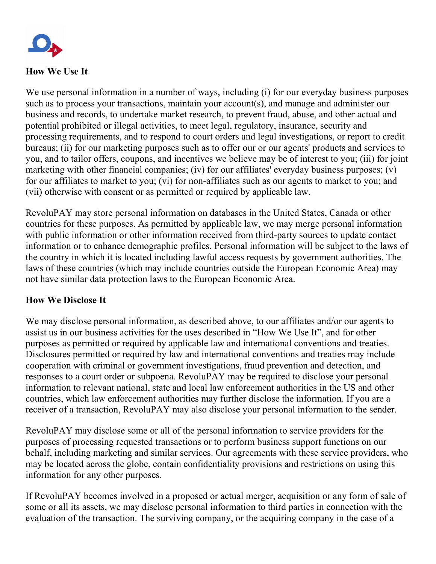

# **How We Use It**

We use personal information in a number of ways, including (i) for our everyday business purposes such as to process your transactions, maintain your account(s), and manage and administer our business and records, to undertake market research, to prevent fraud, abuse, and other actual and potential prohibited or illegal activities, to meet legal, regulatory, insurance, security and processing requirements, and to respond to court orders and legal investigations, or report to credit bureaus; (ii) for our marketing purposes such as to offer our or our agents' products and services to you, and to tailor offers, coupons, and incentives we believe may be of interest to you; (iii) for joint marketing with other financial companies; (iv) for our affiliates' everyday business purposes; (v) for our affiliates to market to you; (vi) for non-affiliates such as our agents to market to you; and (vii) otherwise with consent or as permitted or required by applicable law.

RevoluPAY may store personal information on databases in the United States, Canada or other countries for these purposes. As permitted by applicable law, we may merge personal information with public information or other information received from third-party sources to update contact information or to enhance demographic profiles. Personal information will be subject to the laws of the country in which it is located including lawful access requests by government authorities. The laws of these countries (which may include countries outside the European Economic Area) may not have similar data protection laws to the European Economic Area.

### **How We Disclose It**

We may disclose personal information, as described above, to our affiliates and/or our agents to assist us in our business activities for the uses described in "How We Use It", and for other purposes as permitted or required by applicable law and international conventions and treaties. Disclosures permitted or required by law and international conventions and treaties may include cooperation with criminal or government investigations, fraud prevention and detection, and responses to a court order or subpoena. RevoluPAY may be required to disclose your personal information to relevant national, state and local law enforcement authorities in the US and other countries, which law enforcement authorities may further disclose the information. If you are a receiver of a transaction, RevoluPAY may also disclose your personal information to the sender.

RevoluPAY may disclose some or all of the personal information to service providers for the purposes of processing requested transactions or to perform business support functions on our behalf, including marketing and similar services. Our agreements with these service providers, who may be located across the globe, contain confidentiality provisions and restrictions on using this information for any other purposes.

If RevoluPAY becomes involved in a proposed or actual merger, acquisition or any form of sale of some or all its assets, we may disclose personal information to third parties in connection with the evaluation of the transaction. The surviving company, or the acquiring company in the case of a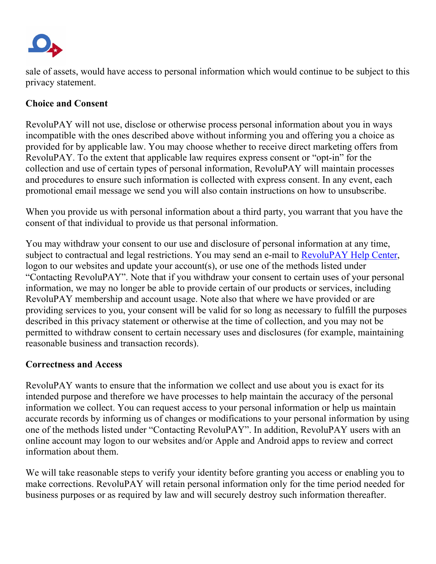

sale of assets, would have access to personal information which would continue to be subject to this privacy statement.

# **Choice and Consent**

RevoluPAY will not use, disclose or otherwise process personal information about you in ways incompatible with the ones described above without informing you and offering you a choice as provided for by applicable law. You may choose whether to receive direct marketing offers from RevoluPAY. To the extent that applicable law requires express consent or "opt-in" for the collection and use of certain types of personal information, RevoluPAY will maintain processes and procedures to ensure such information is collected with express consent. In any event, each promotional email message we send you will also contain instructions on how to unsubscribe.

When you provide us with personal information about a third party, you warrant that you have the consent of that individual to provide us that personal information.

You may withdraw your consent to our use and disclosure of personal information at any time, subject to contractual and legal restrictions. You may send an e-mail to [RevoluPAY Help Center,](https://revolupay.zendesk.com/hc/en-us) logon to our websites and update your account(s), or use one of the methods listed under "Contacting RevoluPAY". Note that if you withdraw your consent to certain uses of your personal information, we may no longer be able to provide certain of our products or services, including RevoluPAY membership and account usage. Note also that where we have provided or are providing services to you, your consent will be valid for so long as necessary to fulfill the purposes described in this privacy statement or otherwise at the time of collection, and you may not be permitted to withdraw consent to certain necessary uses and disclosures (for example, maintaining reasonable business and transaction records).

### **Correctness and Access**

RevoluPAY wants to ensure that the information we collect and use about you is exact for its intended purpose and therefore we have processes to help maintain the accuracy of the personal information we collect. You can request access to your personal information or help us maintain accurate records by informing us of changes or modifications to your personal information by using one of the methods listed under "Contacting RevoluPAY". In addition, RevoluPAY users with an online account may logon to our websites and/or Apple and Android apps to review and correct information about them.

We will take reasonable steps to verify your identity before granting you access or enabling you to make corrections. RevoluPAY will retain personal information only for the time period needed for business purposes or as required by law and will securely destroy such information thereafter.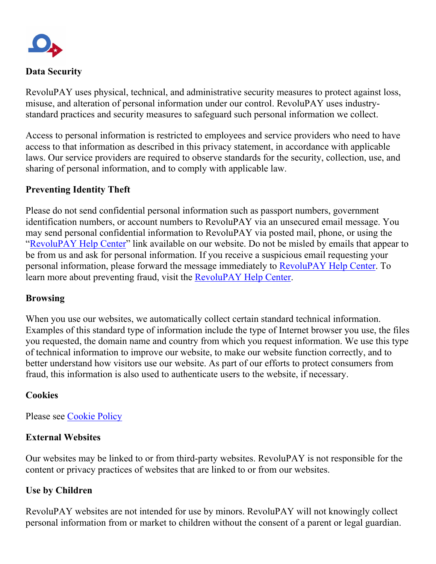

#### **Data Security**

RevoluPAY uses physical, technical, and administrative security measures to protect against loss, misuse, and alteration of personal information under our control. RevoluPAY uses industrystandard practices and security measures to safeguard such personal information we collect.

Access to personal information is restricted to employees and service providers who need to have access to that information as described in this privacy statement, in accordance with applicable laws. Our service providers are required to observe standards for the security, collection, use, and sharing of personal information, and to comply with applicable law.

## **Preventing Identity Theft**

Please do not send confidential personal information such as passport numbers, government identification numbers, or account numbers to RevoluPAY via an unsecured email message. You may send personal confidential information to RevoluPAY via posted mail, phone, or using the ["RevoluPAY Help Center"](https://revolupay.zendesk.com/hc/en-us) link available on our website. Do not be misled by emails that appear to be from us and ask for personal information. If you receive a suspicious email requesting your personal information, please forward the message immediately to [RevoluPAY Help Center.](https://revolupay.zendesk.com/hc/en-us) To learn more about preventing fraud, visit the [RevoluPAY Help Center.](https://revolupay.zendesk.com/hc/en-us)

### **Browsing**

When you use our websites, we automatically collect certain standard technical information. Examples of this standard type of information include the type of Internet browser you use, the files you requested, the domain name and country from which you request information. We use this type of technical information to improve our website, to make our website function correctly, and to better understand how visitors use our website. As part of our efforts to protect consumers from fraud, this information is also used to authenticate users to the website, if necessary.

### **Cookies**

Please see [Cookie Policy](https://www.revolupay.es/privacy)

### **External Websites**

Our websites may be linked to or from third-party websites. RevoluPAY is not responsible for the content or privacy practices of websites that are linked to or from our websites.

### **Use by Children**

RevoluPAY websites are not intended for use by minors. RevoluPAY will not knowingly collect personal information from or market to children without the consent of a parent or legal guardian.